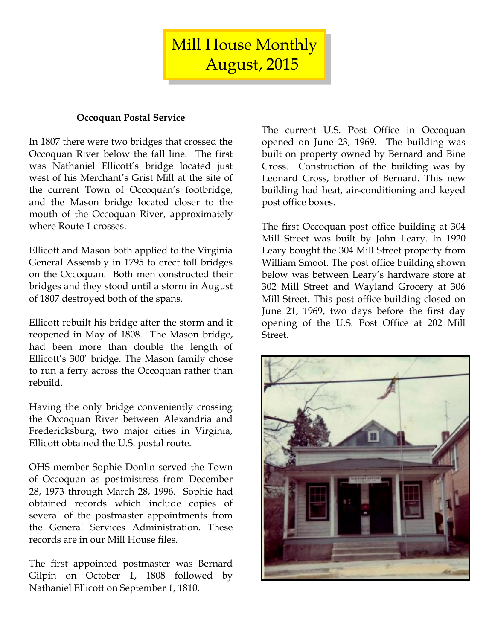Mill House Monthly August, 2015

#### **Occoquan Postal Service**

In 1807 there were two bridges that crossed the Occoquan River below the fall line. The first was Nathaniel Ellicott's bridge located just west of his Merchant's Grist Mill at the site of the current Town of Occoquan's footbridge, and the Mason bridge located closer to the mouth of the Occoquan River, approximately where Route 1 crosses.

Ellicott and Mason both applied to the Virginia General Assembly in 1795 to erect toll bridges on the Occoquan. Both men constructed their bridges and they stood until a storm in August of 1807 destroyed both of the spans.

Ellicott rebuilt his bridge after the storm and it reopened in May of 1808. The Mason bridge, had been more than double the length of Ellicott's 300' bridge. The Mason family chose to run a ferry across the Occoquan rather than rebuild.

Having the only bridge conveniently crossing the Occoquan River between Alexandria and Fredericksburg, two major cities in Virginia, Ellicott obtained the U.S. postal route.

OHS member Sophie Donlin served the Town of Occoquan as postmistress from December 28, 1973 through March 28, 1996. Sophie had obtained records which include copies of several of the postmaster appointments from the General Services Administration. These records are in our Mill House files.

The first appointed postmaster was Bernard Gilpin on October 1, 1808 followed by Nathaniel Ellicott on September 1, 1810.

The current U.S. Post Office in Occoquan opened on June 23, 1969. The building was built on property owned by Bernard and Bine Cross. Construction of the building was by Leonard Cross, brother of Bernard. This new building had heat, air-conditioning and keyed post office boxes.

The first Occoquan post office building at 304 Mill Street was built by John Leary. In 1920 Leary bought the 304 Mill Street property from William Smoot. The post office building shown below was between Leary's hardware store at 302 Mill Street and Wayland Grocery at 306 Mill Street. This post office building closed on June 21, 1969, two days before the first day opening of the U.S. Post Office at 202 Mill Street.

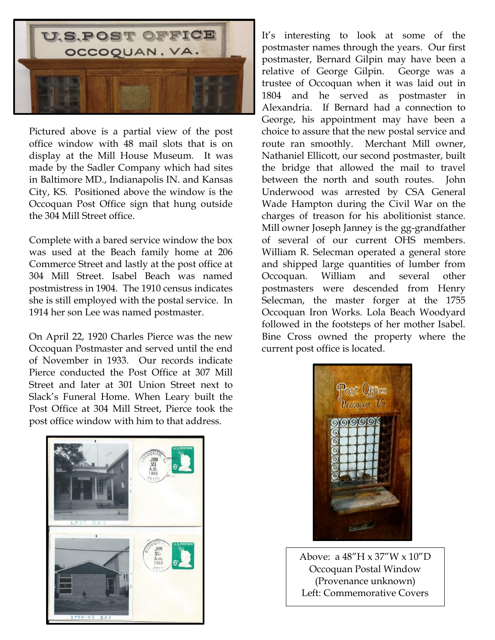

Pictured above is a partial view of the post office window with 48 mail slots that is on display at the Mill House Museum. It was made by the Sadler Company which had sites in Baltimore MD., Indianapolis IN. and Kansas City, KS. Positioned above the window is the Occoquan Post Office sign that hung outside the 304 Mill Street office.

Complete with a bared service window the box was used at the Beach family home at 206 Commerce Street and lastly at the post office at 304 Mill Street. Isabel Beach was named postmistress in 1904. The 1910 census indicates she is still employed with the postal service. In 1914 her son Lee was named postmaster.

On April 22, 1920 Charles Pierce was the new Occoquan Postmaster and served until the end of November in 1933. Our records indicate Pierce conducted the Post Office at 307 Mill Street and later at 301 Union Street next to Slack's Funeral Home. When Leary built the Post Office at 304 Mill Street, Pierce took the post office window with him to that address.

It's interesting to look at some of the postmaster names through the years. Our first postmaster, Bernard Gilpin may have been a relative of George Gilpin. George was a trustee of Occoquan when it was laid out in 1804 and he served as postmaster in Alexandria. If Bernard had a connection to George, his appointment may have been a choice to assure that the new postal service and route ran smoothly. Merchant Mill owner, Nathaniel Ellicott, our second postmaster, built the bridge that allowed the mail to travel between the north and south routes. John Underwood was arrested by CSA General Wade Hampton during the Civil War on the charges of treason for his abolitionist stance. Mill owner Joseph Janney is the gg-grandfather of several of our current OHS members. William R. Selecman operated a general store and shipped large quantities of lumber from Occoquan. William and several other postmasters were descended from Henry Selecman, the master forger at the 1755 Occoquan Iron Works. Lola Beach Woodyard followed in the footsteps of her mother Isabel. Bine Cross owned the property where the current post office is located.





Above: a 48"H x 37"W x 10"D Occoquan Postal Window (Provenance unknown) Left: Commemorative Covers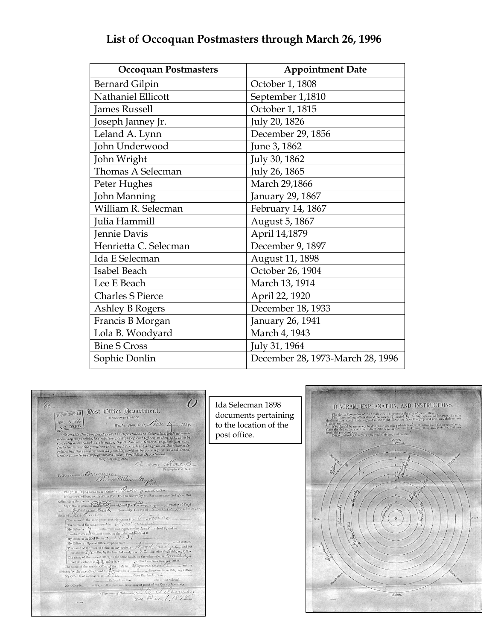| <b>Occoquan Postmasters</b> | <b>Appointment Date</b>          |
|-----------------------------|----------------------------------|
| <b>Bernard Gilpin</b>       | October 1, 1808                  |
| Nathaniel Ellicott          | September 1,1810                 |
| James Russell               | October 1, 1815                  |
| Joseph Janney Jr.           | July 20, 1826                    |
| Leland A. Lynn              | December 29, 1856                |
| John Underwood              | June 3, 1862                     |
| John Wright                 | July 30, 1862                    |
| Thomas A Selecman           | July 26, 1865                    |
| Peter Hughes                | March 29,1866                    |
| John Manning                | January 29, 1867                 |
| William R. Selecman         | February 14, 1867                |
| Julia Hammill               | August 5, 1867                   |
| Jennie Davis                | April 14,1879                    |
| Henrietta C. Selecman       | December 9, 1897                 |
| Ida E Selecman              | August 11, 1898                  |
| Isabel Beach                | October 26, 1904                 |
| Lee E Beach                 | March 13, 1914                   |
| <b>Charles S Pierce</b>     | April 22, 1920                   |
| Ashley B Rogers             | December 18, 1933                |
| Francis B Morgan            | January 26, 1941                 |
| Lola B. Woodyard            | March 4, 1943                    |
| <b>Bine S Cross</b>         | July 31, 1964                    |
| Sophie Donlin               | December 28, 1973-March 28, 1996 |

# **List of Occoquan Postmasters through March 26, 1996**

 $\overline{O}$ Ida Selecman 1898 DIAGRAM, EXPLANATION, AND INSTRUCTIONS. U TOPOGRAPHER Wost Office Department, Fig. dot, in the context of the lemits of the lemit of the property of the state of the lemit of the lemit of the context of the context of the context of the context of the context of the context of the context of the co documents pertaining  $\times 10^{10}$ TOPOGRAPHER'S OFFICE,<br>Washington, D. C. Nov 15, 1898, to the location of the  $\label{eq:constrained} We obtain glem, D.C.~\mathcal{L}/\mathcal{L}'\mathcal{L}' \mathcal{L}_{\mathcal{L}'} \mathcal{L}_{\mathcal{L}'} \mathcal{L}_{\mathcal{L}'} \mathcal{L}_{\mathcal{L}'} \mathcal{L}_{\mathcal{L}'} \mathcal{L}_{\mathcal{L}'} \mathcal{L}_{\mathcal{L}'} \mathcal{L}_{\mathcal{L}'} \mathcal{L}_{\mathcal{L}'} \mathcal{L}_{\mathcal{L}'} \mathcal{L}_{\mathcal{L}'} \mathcal{L}_{\mathcal{L}'} \mathcal{L}_{\mathcal{L}'} \mathcal{L}_{\mathcal{L}'} \mathcal$ post office.Respectfully, etc.,<br>
To Positularize at  $O(x,t) \cup (1/2)^n$ .<br>
To Positularize at  $O(x,t) \cup (1/2)^n$ .<br>
The CO-Display are site of the Post of the Post of the Post of the Post of the Post of the Post of the Post of the Post of the P  $South$